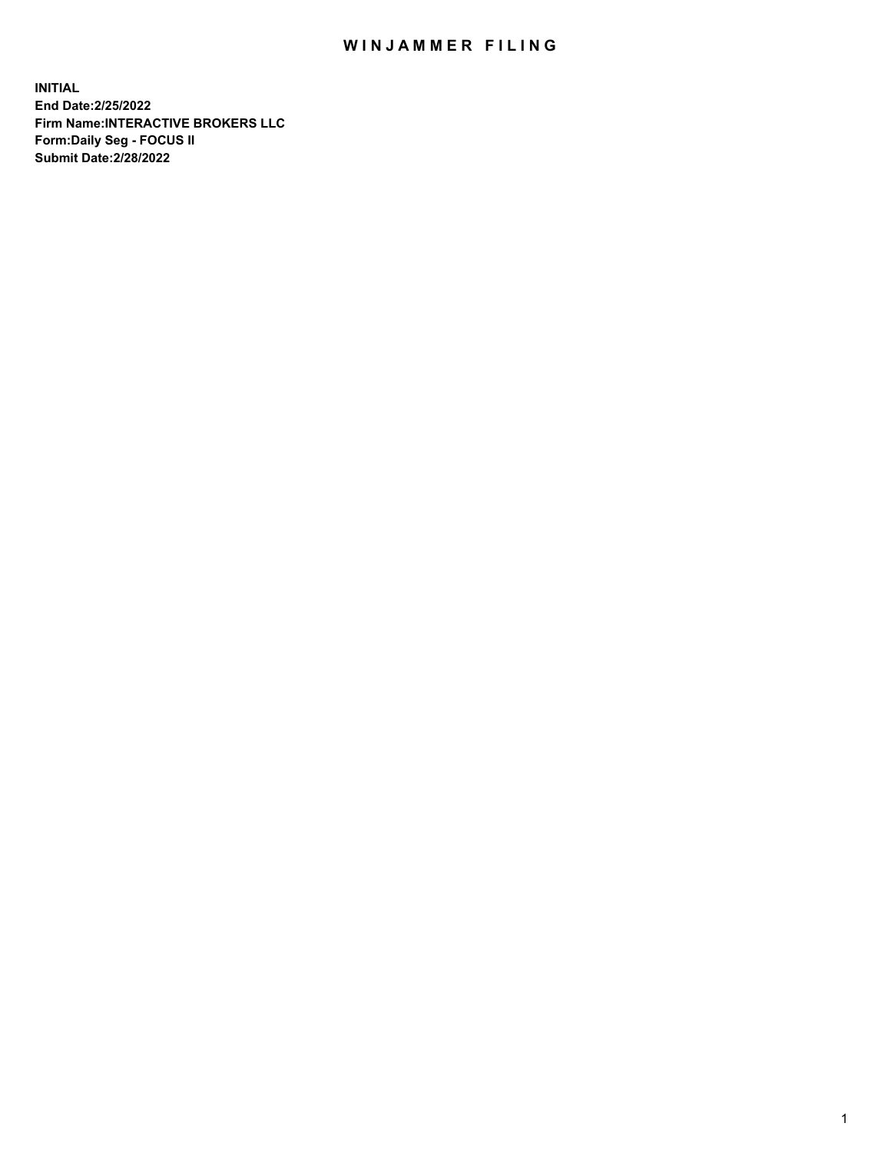## WIN JAMMER FILING

**INITIAL End Date:2/25/2022 Firm Name:INTERACTIVE BROKERS LLC Form:Daily Seg - FOCUS II Submit Date:2/28/2022**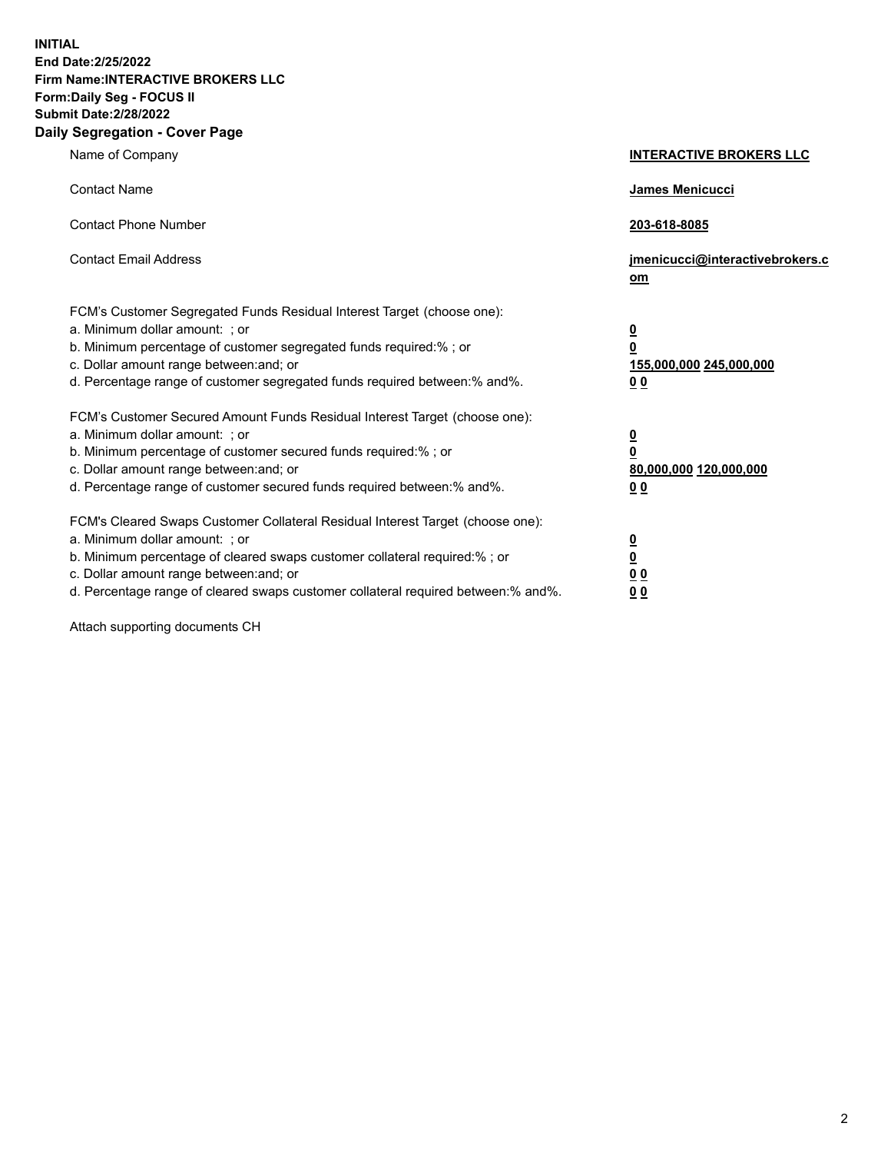**INITIAL End Date:2/25/2022 Firm Name:INTERACTIVE BROKERS LLC Form:Daily Seg - FOCUS II Submit Date:2/28/2022 Daily Segregation - Cover Page**

| Name of Company                                                                                                                                                                                                                                                                                                               | <b>INTERACTIVE BROKERS LLC</b>                                                                  |
|-------------------------------------------------------------------------------------------------------------------------------------------------------------------------------------------------------------------------------------------------------------------------------------------------------------------------------|-------------------------------------------------------------------------------------------------|
| <b>Contact Name</b>                                                                                                                                                                                                                                                                                                           | James Menicucci                                                                                 |
| <b>Contact Phone Number</b>                                                                                                                                                                                                                                                                                                   | 203-618-8085                                                                                    |
| <b>Contact Email Address</b>                                                                                                                                                                                                                                                                                                  | jmenicucci@interactivebrokers.c<br><u>om</u>                                                    |
| FCM's Customer Segregated Funds Residual Interest Target (choose one):<br>a. Minimum dollar amount: ; or<br>b. Minimum percentage of customer segregated funds required:% ; or<br>c. Dollar amount range between: and; or<br>d. Percentage range of customer segregated funds required between:% and%.                        | $\overline{\mathbf{0}}$<br>$\overline{\mathbf{0}}$<br>155,000,000 245,000,000<br>0 <sub>0</sub> |
| FCM's Customer Secured Amount Funds Residual Interest Target (choose one):<br>a. Minimum dollar amount: ; or<br>b. Minimum percentage of customer secured funds required:%; or<br>c. Dollar amount range between: and; or<br>d. Percentage range of customer secured funds required between:% and%.                           | $\overline{\mathbf{0}}$<br>$\overline{\mathbf{0}}$<br>80,000,000 120,000,000<br>0 <sub>0</sub>  |
| FCM's Cleared Swaps Customer Collateral Residual Interest Target (choose one):<br>a. Minimum dollar amount: ; or<br>b. Minimum percentage of cleared swaps customer collateral required:%; or<br>c. Dollar amount range between: and; or<br>d. Percentage range of cleared swaps customer collateral required between:% and%. | $\overline{\mathbf{0}}$<br>$\overline{\mathbf{0}}$<br>0 <sub>0</sub><br>0 <sub>0</sub>          |

Attach supporting documents CH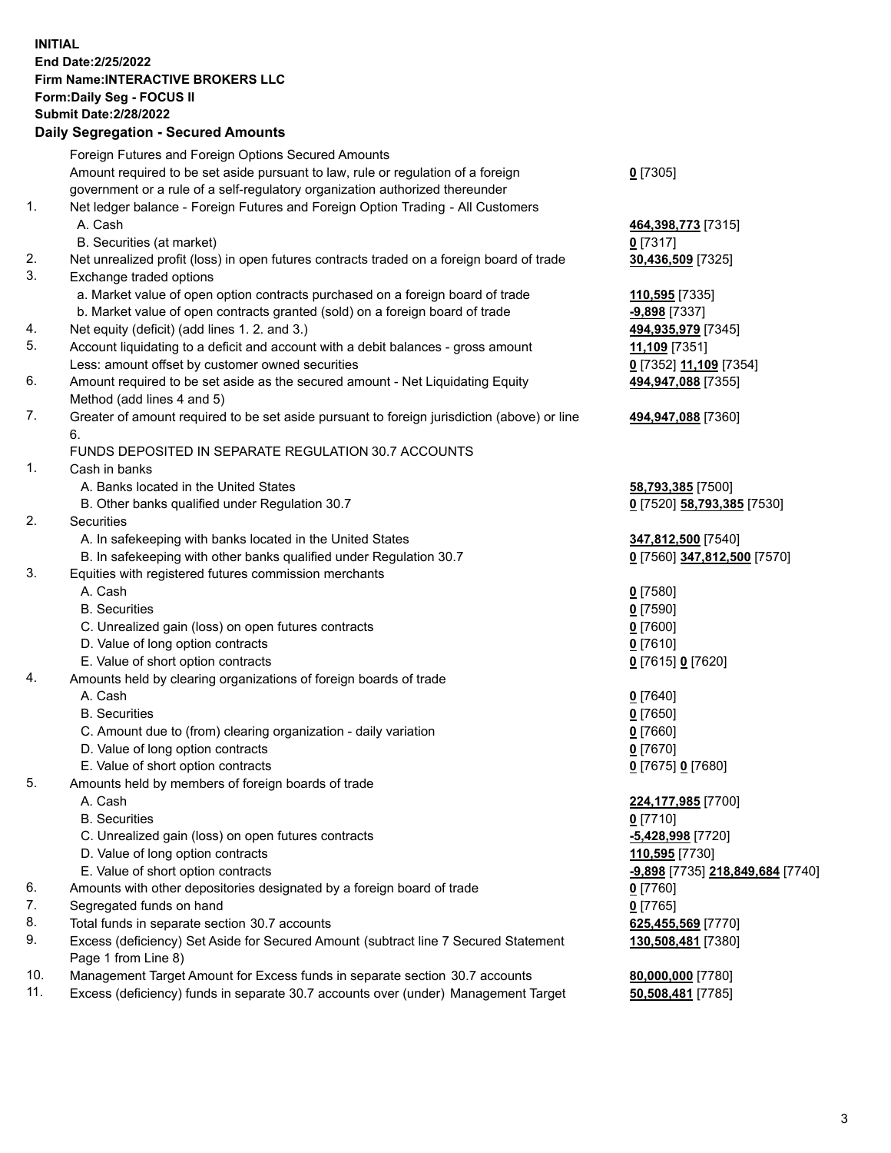**INITIAL End Date:2/25/2022 Firm Name:INTERACTIVE BROKERS LLC Form:Daily Seg - FOCUS II Submit Date:2/28/2022 Daily Segregation - Secured Amounts**

|                | Foreign Futures and Foreign Options Secured Amounts                                                        |                                         |
|----------------|------------------------------------------------------------------------------------------------------------|-----------------------------------------|
|                | Amount required to be set aside pursuant to law, rule or regulation of a foreign                           | $0$ [7305]                              |
|                | government or a rule of a self-regulatory organization authorized thereunder                               |                                         |
| $\mathbf{1}$ . | Net ledger balance - Foreign Futures and Foreign Option Trading - All Customers                            |                                         |
|                | A. Cash                                                                                                    | 464,398,773 [7315]                      |
|                | B. Securities (at market)                                                                                  | $0$ [7317]                              |
| 2.             | Net unrealized profit (loss) in open futures contracts traded on a foreign board of trade                  | 30,436,509 [7325]                       |
| 3.             | Exchange traded options                                                                                    |                                         |
|                | a. Market value of open option contracts purchased on a foreign board of trade                             | 110,595 [7335]                          |
|                | b. Market value of open contracts granted (sold) on a foreign board of trade                               | -9,898 [7337]                           |
| 4.             | Net equity (deficit) (add lines 1. 2. and 3.)                                                              | 494,935,979 [7345]                      |
| 5.             | Account liquidating to a deficit and account with a debit balances - gross amount                          | 11,109 [7351]                           |
|                | Less: amount offset by customer owned securities                                                           | 0 [7352] 11,109 [7354]                  |
| 6.             | Amount required to be set aside as the secured amount - Net Liquidating Equity                             | 494,947,088 [7355]                      |
|                | Method (add lines 4 and 5)                                                                                 |                                         |
| 7.             | Greater of amount required to be set aside pursuant to foreign jurisdiction (above) or line<br>6.          | 494,947,088 [7360]                      |
|                | FUNDS DEPOSITED IN SEPARATE REGULATION 30.7 ACCOUNTS                                                       |                                         |
| 1.             | Cash in banks                                                                                              |                                         |
|                | A. Banks located in the United States                                                                      | 58,793,385 [7500]                       |
|                | B. Other banks qualified under Regulation 30.7                                                             | 0 [7520] 58,793,385 [7530]              |
| 2.             | <b>Securities</b>                                                                                          |                                         |
|                | A. In safekeeping with banks located in the United States                                                  | 347,812,500 [7540]                      |
|                | B. In safekeeping with other banks qualified under Regulation 30.7                                         | 0 [7560] 347,812,500 [7570]             |
| 3.             | Equities with registered futures commission merchants                                                      |                                         |
|                | A. Cash                                                                                                    | $0$ [7580]                              |
|                | <b>B.</b> Securities                                                                                       | $0$ [7590]                              |
|                | C. Unrealized gain (loss) on open futures contracts                                                        | $0$ [7600]                              |
|                | D. Value of long option contracts                                                                          | $0$ [7610]                              |
|                | E. Value of short option contracts                                                                         | 0 [7615] 0 [7620]                       |
| 4.             | Amounts held by clearing organizations of foreign boards of trade                                          |                                         |
|                | A. Cash                                                                                                    | $0$ [7640]                              |
|                | <b>B.</b> Securities                                                                                       | $0$ [7650]                              |
|                | C. Amount due to (from) clearing organization - daily variation                                            | $0$ [7660]                              |
|                | D. Value of long option contracts                                                                          | $0$ [7670]                              |
|                | E. Value of short option contracts                                                                         | 0 [7675] 0 [7680]                       |
| 5.             | Amounts held by members of foreign boards of trade                                                         |                                         |
|                | A. Cash                                                                                                    | 224,177,985 [7700]                      |
|                | <b>B.</b> Securities                                                                                       | $0$ [7710]                              |
|                | C. Unrealized gain (loss) on open futures contracts                                                        | -5,428,998 [7720]                       |
|                | D. Value of long option contracts                                                                          | 110,595 [7730]                          |
|                | E. Value of short option contracts                                                                         | <u>-9,898</u> [7735] 218,849,684 [7740] |
| 6.             | Amounts with other depositories designated by a foreign board of trade                                     | $0$ [7760]                              |
| 7.             | Segregated funds on hand                                                                                   | $0$ [7765]                              |
| 8.             | Total funds in separate section 30.7 accounts                                                              | 625,455,569 [7770]                      |
| 9.             | Excess (deficiency) Set Aside for Secured Amount (subtract line 7 Secured Statement<br>Page 1 from Line 8) | 130,508,481 [7380]                      |
| 10.            | Management Target Amount for Excess funds in separate section 30.7 accounts                                | 80,000,000 [7780]                       |
| 11.            | Excess (deficiency) funds in separate 30.7 accounts over (under) Management Target                         | 50,508,481 [7785]                       |
|                |                                                                                                            |                                         |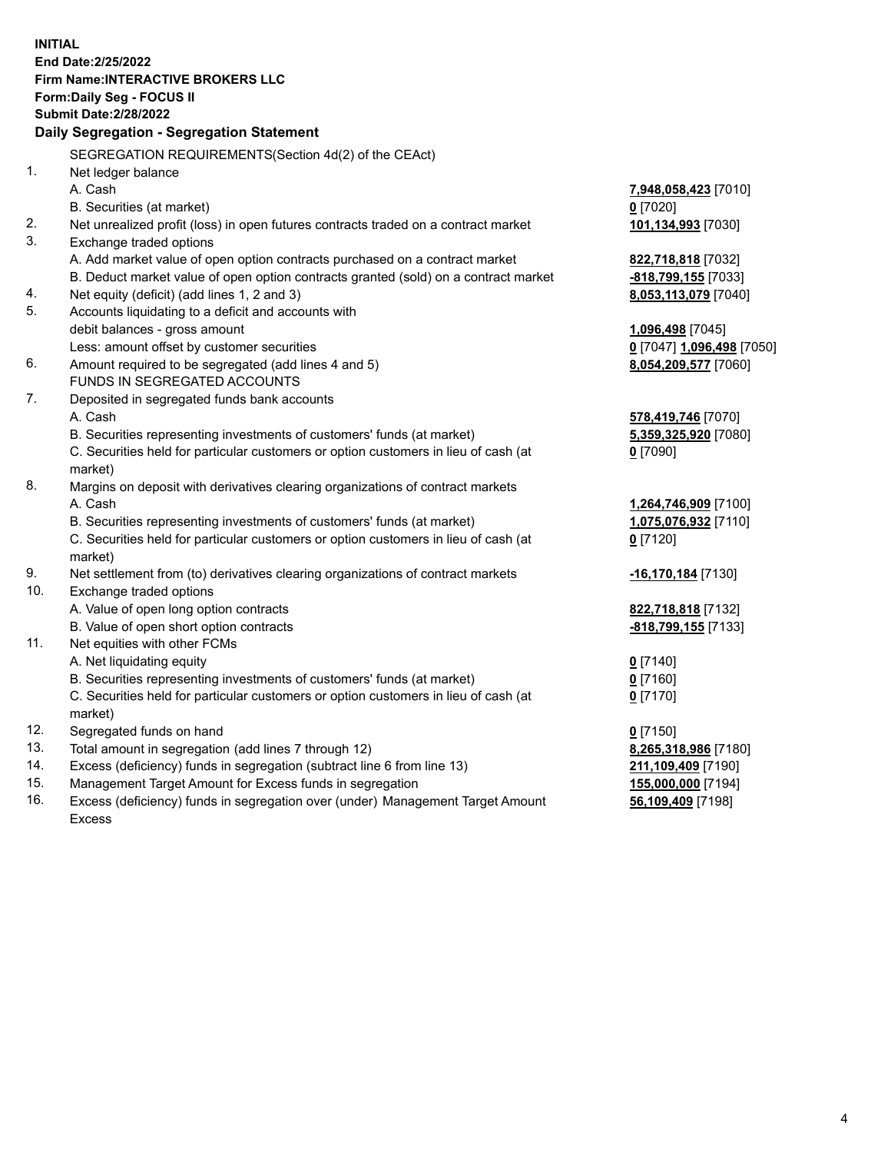**INITIAL End Date:2/25/2022 Firm Name:INTERACTIVE BROKERS LLC Form:Daily Seg - FOCUS II Submit Date:2/28/2022 Daily Segregation - Segregation Statement** SEGREGATION REQUIREMENTS(Section 4d(2) of the CEAct) 1. Net ledger balance A. Cash **7,948,058,423** [7010] B. Securities (at market) **0** [7020] 2. Net unrealized profit (loss) in open futures contracts traded on a contract market **101,134,993** [7030] 3. Exchange traded options A. Add market value of open option contracts purchased on a contract market **822,718,818** [7032] B. Deduct market value of open option contracts granted (sold) on a contract market **-818,799,155** [7033] 4. Net equity (deficit) (add lines 1, 2 and 3) **8,053,113,079** [7040] 5. Accounts liquidating to a deficit and accounts with debit balances - gross amount **1,096,498** [7045] Less: amount offset by customer securities **0** [7047] **1,096,498** [7050] 6. Amount required to be segregated (add lines 4 and 5) **8,054,209,577** [7060] FUNDS IN SEGREGATED ACCOUNTS 7. Deposited in segregated funds bank accounts A. Cash **578,419,746** [7070] B. Securities representing investments of customers' funds (at market) **5,359,325,920** [7080] C. Securities held for particular customers or option customers in lieu of cash (at market) **0** [7090] 8. Margins on deposit with derivatives clearing organizations of contract markets A. Cash **1,264,746,909** [7100] B. Securities representing investments of customers' funds (at market) **1,075,076,932** [7110] C. Securities held for particular customers or option customers in lieu of cash (at market) **0** [7120] 9. Net settlement from (to) derivatives clearing organizations of contract markets **-16,170,184** [7130] 10. Exchange traded options A. Value of open long option contracts **822,718,818** [7132] B. Value of open short option contracts **-818,799,155** [7133] 11. Net equities with other FCMs A. Net liquidating equity **0** [7140] B. Securities representing investments of customers' funds (at market) **0** [7160] C. Securities held for particular customers or option customers in lieu of cash (at market) **0** [7170] 12. Segregated funds on hand **0** [7150] 13. Total amount in segregation (add lines 7 through 12) **8,265,318,986** [7180] 14. Excess (deficiency) funds in segregation (subtract line 6 from line 13) **211,109,409** [7190] 15. Management Target Amount for Excess funds in segregation **155,000,000** [7194] 16. Excess (deficiency) funds in segregation over (under) Management Target Amount Excess **56,109,409** [7198]